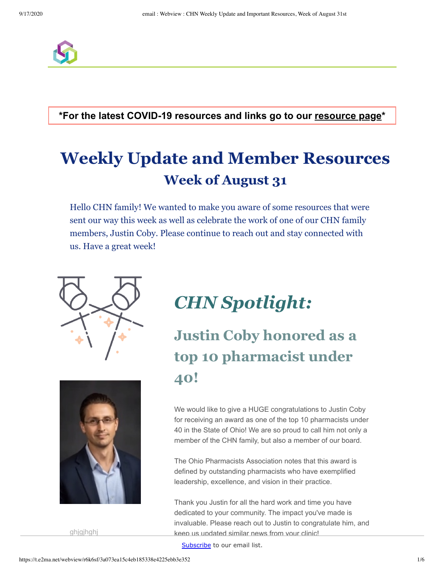

**\*For the latest COVID-19 resources and links go to our [resource page](https://docs.google.com/document/d/1X19l7c66q9DcIZKydd7apEuD7_I9RQvnS1H5PVGSJ3A/edit#heading=h.24qv2sjz94tk)\***

# **Weekly Update and Member Resources Week of August 31**

Hello CHN family! We wanted to make you aware of some resources that were sent our way this week as well as celebrate the work of one of our CHN family members, Justin Coby. Please continue to reach out and stay connected with us. Have a great week!





ghjgjhghj

# *CHN Spotlight:*

# **Justin Coby honored as a top 10 pharmacist under 40!**

We would like to give a HUGE congratulations to Justin Coby for receiving an award as one of the top 10 pharmacists under 40 in the State of Ohio! We are so proud to call him not only a member of the CHN family, but also a member of our board.

The Ohio Pharmacists Association notes that this award is defined by outstanding pharmacists who have exemplified leadership, excellence, and vision in their practice.

Thank you Justin for all the hard work and time you have dedicated to your community. The impact you've made is invaluable. Please reach out to Justin to congratulate him, and keep us updated similar news from your clinic!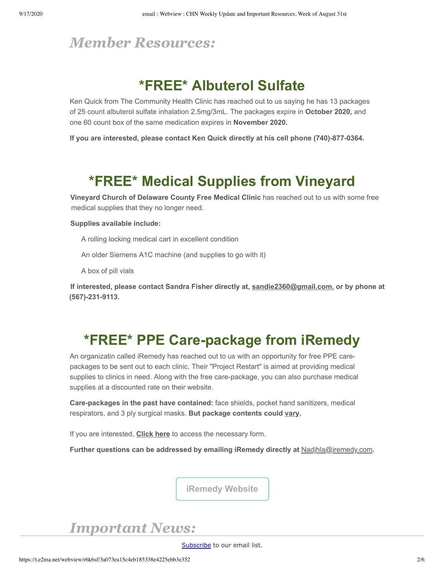### *Member Resources:*

## **\*FREE\* Albuterol Sulfate**

Ken Quick from The Community Health Clinic has reached out to us saying he has 13 packages of 25 count albuterol sulfate inhalation 2.5mg/3mL. The packages expire in **October 2020,** and one 60 count box of the same medication expires in **November 2020.** 

**If you are interested, please contact Ken Quick directly at his cell phone (740)-877-0364.** 

## **\*FREE\* Medical Supplies from Vineyard**

**Vineyard Church of Delaware County Free Medical Clinic** has reached out to us with some free medical supplies that they no longer need.

#### **Supplies available include:**

A rolling locking medical cart in excellent condition

An older Siemens A1C machine (and supplies to go with it)

A box of pill vials

**If interested, please contact Sandra Fisher directly at, [sandie2360@gmail.com.](mailto:sandie2360@gmail.com) or by phone at (567)-231-9113.**

## **\*FREE\* PPE Care-package from iRemedy**

An organizatin called iRemedy has reached out to us with an opportunity for free PPE carepackages to be sent out to each clinic. Their "Project Restart" is aimed at providing medical supplies to clinics in need. Along with the free care-package, you can also purchase medical supplies at a discounted rate on their website.

**Care-packages in the past have contained:** face shields, pocket hand sanitizers, medical respirators, and 3 ply surgical masks. **But package contents could vary.**

If you are interested, **[Click here](https://d31hzlhk6di2h5.cloudfront.net/20200902/71/44/af/f0/d7bc52693e41c6e687b06e06/PROJECT_RESTART_CLINIC_REGISTRATION_FORM__1_.pdf)** to access the necessary form.

Further questions can be addressed by emailing iRemedy directly at **[Nadjhla@iremedy.com](mailto:Nadjhla@iremedy.com)**.

**[iRemedy Website](https://iremedy.com/?gclid=EAIaIQobChMI-6SR6d3I6wIVw8DACh3OFgJkEAAYASAAEgJ63PD_BwE)**

*Important News:*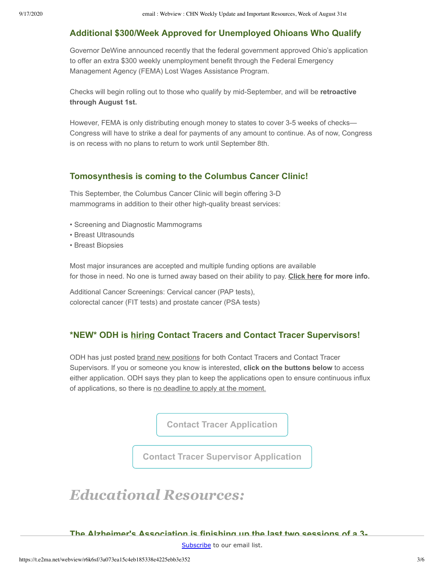### **Additional \$300/Week Approved for Unemployed Ohioans Who Qualify**

Governor DeWine announced recently that the federal government approved Ohio's application to offer an extra \$300 weekly unemployment benefit through the Federal Emergency Management Agency (FEMA) Lost Wages Assistance Program.

Checks will begin rolling out to those who qualify by mid-September, and will be **retroactive through August 1st.**

However, FEMA is only distributing enough money to states to cover 3-5 weeks of checks— Congress will have to strike a deal for payments of any amount to continue. As of now, Congress is on recess with no plans to return to work until September 8th.

#### **Tomosynthesis is coming to the Columbus Cancer Clinic!**

This September, the Columbus Cancer Clinic will begin offering 3-D mammograms in addition to their other high-quality breast services:

- Screening and Diagnostic Mammograms
- Breast Ultrasounds
- Breast Biopsies

Most major insurances are accepted and multiple funding options are available for those in need. No one is turned away based on their ability to pay. **[Click here](https://d31hzlhk6di2h5.cloudfront.net/20200902/7c/9b/87/48/270a32cc0ca342a9b6e59321/20-0819_Tomo_flier_CCC__3_.pdf) for more info.**

Additional Cancer Screenings: Cervical cancer (PAP tests), colorectal cancer (FIT tests) and prostate cancer (PSA tests)

### **\*NEW\* ODH is hiring Contact Tracers and Contact Tracer Supervisors!**

ODH has just posted brand new positions for both Contact Tracers and Contact Tracer Supervisors. If you or someone you know is interested, **click on the buttons below** to access either application. ODH says they plan to keep the applications open to ensure continuous influx of applications, so there is no deadline to apply at the moment.

**[Contact Tracer Application](https://dasstateoh.taleo.net/careersection/oh_ext/jobdetail.ftl?job=200003J9&tz=GMT-04%3A00&tzname=America%2FNew_York)**

**[Contact Tracer Supervisor Application](https://dasstateoh.taleo.net/careersection/oh_ext/jobdetail.ftl?job=200003OX&tz=GMT-04%3A00&tzname=America%2FNew_York)**

## *Educational Resources:*

**The Alzheimer's Association is finishing up the last two sessions of a 3-**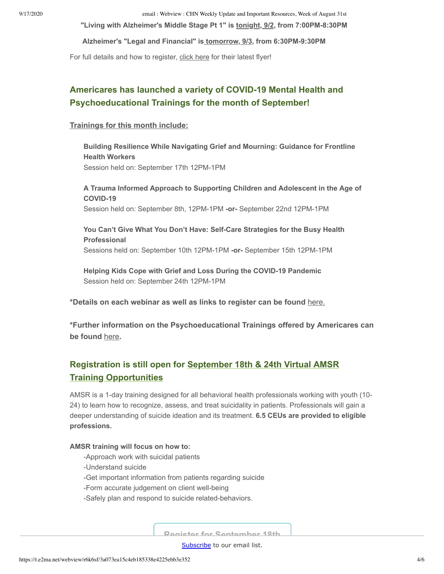9/17/2020 email : Webview : CHN Weekly Update and Important Resources, Week of August 31st

**"Living with Alzheimer's Middle Stage Pt 1" is tonight, 9/2, from 7:00PM-8:30PM**

**Alzheimer's "Legal and Financial" is tomorrow, 9/3, from 6:30PM-9:30PM**

For full details and how to register, [click here](https://d31hzlhk6di2h5.cloudfront.net/20200902/b3/f5/01/fd/5c350c8b76bc6c151e5718f6/SEPT_EDUCATION_PROGRAMS_9_1-9_4_8_27_2020_4_30_54_PM.pdf) for their latest flyer!

### **Americares has launched a variety of COVID-19 Mental Health and Psychoeducational Trainings for the month of September!**

#### **Trainings for this month include:**

 **Building Resilience While Navigating Grief and Mourning: Guidance for Frontline Health Workers**  Session held on: September 17th 12PM-1PM

 **A Trauma Informed Approach to Supporting Children and Adolescent in the Age of COVID-19** 

Session held on: September 8th, 12PM-1PM **-or-** September 22nd 12PM-1PM

#### **You Can't Give What You Don't Have: Self-Care Strategies for the Busy Health Professional**  Sessions held on: September 10th 12PM-1PM **-or-** September 15th 12PM-1PM

 **Helping Kids Cope with Grief and Loss During the COVID-19 Pandemic**  Session held on: September 24th 12PM-1PM

**\*Details on each webinar as well as links to register can be found** [here.](https://d31hzlhk6di2h5.cloudfront.net/20200902/04/16/f9/11/42ae4a74ad92d6c1ef61c5cb/Americares_MHPSS_September_Webinar_Series_Description.docx)

**\*Further information on the Psychoeducational Trainings offered by Americares can be found** [here](https://d31hzlhk6di2h5.cloudfront.net/20200902/b6/04/8a/0e/bd6356027cc09ff3c025de39/Americares_Psychoeducational_Training.pdf)**.**

### **Registration is still open for September 18th & 24th Virtual AMSR Training Opportunities**

AMSR is a 1-day training designed for all behavioral health professionals working with youth (10- 24) to learn how to recognize, assess, and treat suicidality in patients. Professionals will gain a deeper understanding of suicide ideation and its treatment. **6.5 CEUs are provided to eligible professions.** 

#### **AMSR training will focus on how to:**

- -Approach work with suicidal patients
- -Understand suicide
- -Get important information from patients regarding suicide
- -Form accurate judgement on client well-being
- -Safely plan and respond to suicide related-behaviors.

**[Register for September 18th](http://www.cvent.com/events/assessing-and-managing-suicide-risk-virtual-option-/event-summary-dc4f2747a418440299311d1ce8b3cf61.aspx)**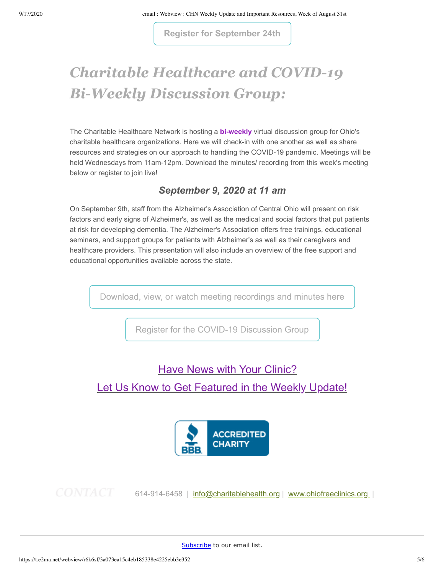**[Register for September 24th](http://www.cvent.com/events/assessing-and-managing-suicide-risk-virtual-option-/event-summary-3a0bbc154c5448efa6e52fcceb5bb75b.aspx)**

# *Charitable Healthcare and COVID-19 Bi-Weekly Discussion Group:*

The Charitable Healthcare Network is hosting a **bi-weekly** virtual discussion group for Ohio's charitable healthcare organizations. Here we will check-in with one another as well as share resources and strategies on our approach to handling the COVID-19 pandemic. Meetings will be held Wednesdays from 11am-12pm. Download the minutes/ recording from this week's meeting below or register to join live!

### *September 9, 2020 at 11 am*

On September 9th, staff from the Alzheimer's Association of Central Ohio will present on risk factors and early signs of Alzheimer's, as well as the medical and social factors that put patients at risk for developing dementia. The Alzheimer's Association offers free trainings, educational seminars, and support groups for patients with Alzheimer's as well as their caregivers and healthcare providers. This presentation will also include an overview of the free support and educational opportunities available across the state.

[Download, view, or watch meeting recordings and minutes here](https://drive.google.com/open?id=1maaI039wprs_SWjQdYByt_D1zT1CVxzm)

[Register for the COVID-19 Discussion Group](https://zoom.us/meeting/register/uZctc-6upj0q5UIVLftd8Apue8HhLBHaVQ)

### **[Have News with Your Clinic?](mailto:shatch@charitablehealth.org?subject=Weely%20Update%20Feature)**

### [Let Us Know to Get Featured in the Weekly Update!](mailto:kkisseberth@charitablehealth.org?subject=Weely%20Update%20Feature)



614-914-6458 | [info@charitablehealth.org](mailto:info@charitablehealth.org?subject=) | [www.ohiofreeclinics.org](http://www.ohiofreeclinics.org/) |